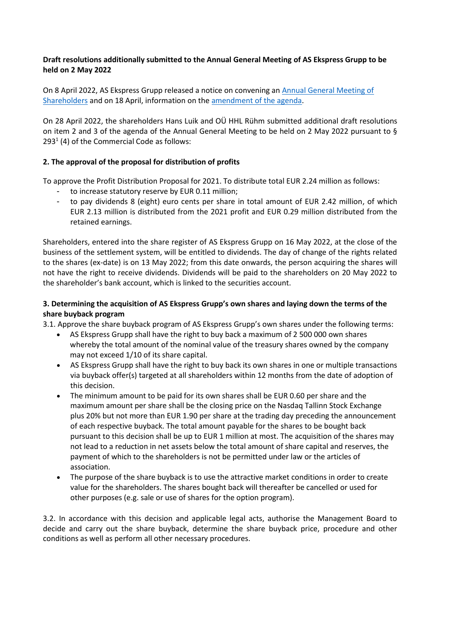## **Draft resolutions additionally submitted to the Annual General Meeting of AS Ekspress Grupp to be held on 2 May 2022**

On 8 April 2022, AS Ekspress Grupp released a notice on convening an [Annual General Meeting of](https://view.news.eu.nasdaq.com/view?id=bc9099564cd76065cc1a4320c16e2ef9f&lang=en)  [Shareholders](https://view.news.eu.nasdaq.com/view?id=bc9099564cd76065cc1a4320c16e2ef9f&lang=en) and on 18 April, information on th[e amendment of the agenda.](https://view.news.eu.nasdaq.com/view?id=b16c2a09f7bd8e175b7aead956b33569f&lang=en)

On 28 April 2022, the shareholders Hans Luik and OÜ HHL Rühm submitted additional draft resolutions on item 2 and 3 of the agenda of the Annual General Meeting to be held on 2 May 2022 pursuant to §  $293<sup>1</sup>$  (4) of the Commercial Code as follows:

## **2. The approval of the proposal for distribution of profits**

To approve the Profit Distribution Proposal for 2021. To distribute total EUR 2.24 million as follows:

- to increase statutory reserve by EUR 0.11 million;
- to pay dividends 8 (eight) euro cents per share in total amount of EUR 2.42 million, of which EUR 2.13 million is distributed from the 2021 profit and EUR 0.29 million distributed from the retained earnings.

Shareholders, entered into the share register of AS Ekspress Grupp on 16 May 2022, at the close of the business of the settlement system, will be entitled to dividends. The day of change of the rights related to the shares (ex-date) is on 13 May 2022; from this date onwards, the person acquiring the shares will not have the right to receive dividends. Dividends will be paid to the shareholders on 20 May 2022 to the shareholder's bank account, which is linked to the securities account.

## **3. Determining the acquisition of AS Ekspress Grupp's own shares and laying down the terms of the share buyback program**

3.1. Approve the share buyback program of AS Ekspress Grupp's own shares under the following terms:

- AS Ekspress Grupp shall have the right to buy back a maximum of 2 500 000 own shares whereby the total amount of the nominal value of the treasury shares owned by the company may not exceed 1/10 of its share capital.
- AS Ekspress Grupp shall have the right to buy back its own shares in one or multiple transactions via buyback offer(s) targeted at all shareholders within 12 months from the date of adoption of this decision.
- The minimum amount to be paid for its own shares shall be EUR 0.60 per share and the maximum amount per share shall be the closing price on the Nasdaq Tallinn Stock Exchange plus 20% but not more than EUR 1.90 per share at the trading day preceding the announcement of each respective buyback. The total amount payable for the shares to be bought back pursuant to this decision shall be up to EUR 1 million at most. The acquisition of the shares may not lead to a reduction in net assets below the total amount of share capital and reserves, the payment of which to the shareholders is not be permitted under law or the articles of association.
- The purpose of the share buyback is to use the attractive market conditions in order to create value for the shareholders. The shares bought back will thereafter be cancelled or used for other purposes (e.g. sale or use of shares for the option program).

3.2. In accordance with this decision and applicable legal acts, authorise the Management Board to decide and carry out the share buyback, determine the share buyback price, procedure and other conditions as well as perform all other necessary procedures.